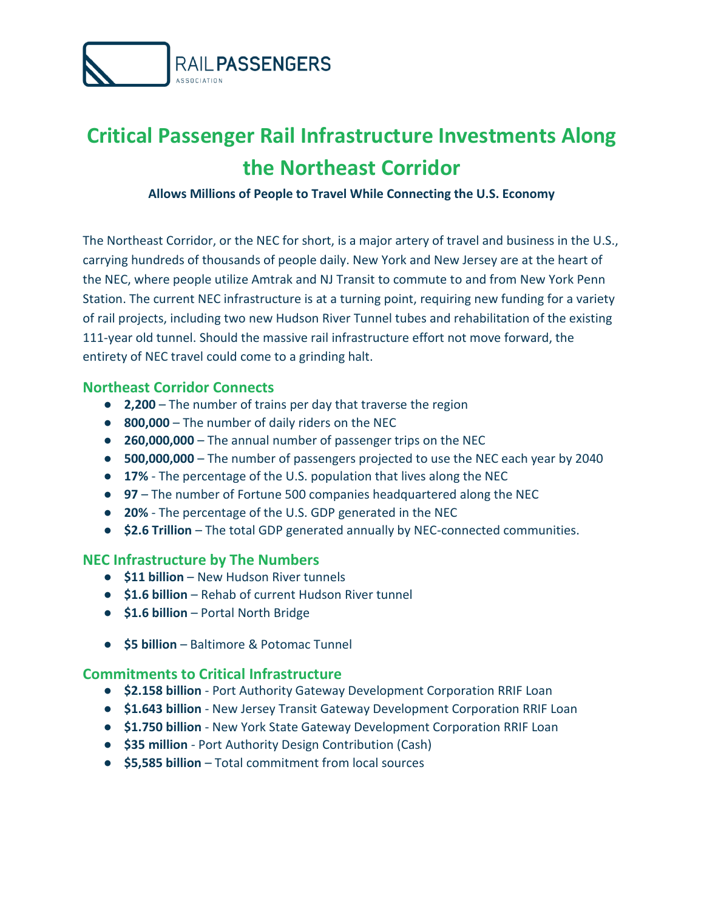

# **Critical Passenger Rail Infrastructure Investments Along the Northeast Corridor**

**Allows Millions of People to Travel While Connecting the U.S. Economy**

The Northeast Corridor, or the NEC for short, is a major artery of travel and business in the U.S., carrying hundreds of thousands of people daily. New York and New Jersey are at the heart of the NEC, where people utilize Amtrak and NJ Transit to commute to and from New York Penn Station. The current NEC infrastructure is at a turning point, requiring new funding for a variety of rail projects, including two new Hudson River Tunnel tubes and rehabilitation of the existing 111-year old tunnel. Should the massive rail infrastructure effort not move forward, the entirety of NEC travel could come to a grinding halt.

#### **Northeast Corridor Connects**

- **2,200** The number of trains per day that traverse the region
- **800,000** The number of daily riders on the NEC
- **260,000,000** The annual number of passenger trips on the NEC
- **500,000,000** The number of passengers projected to use the NEC each year by 2040
- **17%** The percentage of the U.S. population that lives along the NEC
- **97** The number of Fortune 500 companies headquartered along the NEC
- **20%** The percentage of the U.S. GDP generated in the NEC
- **\$2.6 Trillion** The total GDP generated annually by NEC-connected communities.

## **NEC Infrastructure by The Numbers**

- **\$11 billion** New Hudson River tunnels
- **\$1.6 billion**  Rehab of current Hudson River tunnel
- **\$1.6 billion**  Portal North Bridge
- **\$5 billion**  Baltimore & Potomac Tunnel

## **Commitments to Critical Infrastructure**

- **\$2.158 billion**  Port Authority Gateway Development Corporation RRIF Loan
- **\$1.643 billion**  New Jersey Transit Gateway Development Corporation RRIF Loan
- **\$1.750 billion**  New York State Gateway Development Corporation RRIF Loan
- **\$35 million** Port Authority Design Contribution (Cash)
- **\$5,585 billion** Total commitment from local sources